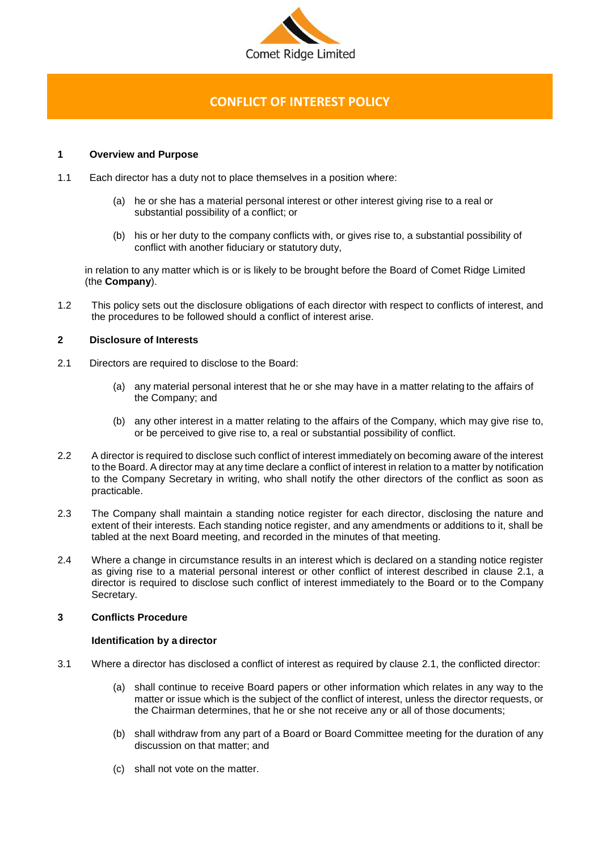

# **CONFLICT OF INTEREST POLICY**

# **1 Overview and Purpose**

- 1.1 Each director has a duty not to place themselves in a position where:
	- (a) he or she has a material personal interest or other interest giving rise to a real or substantial possibility of a conflict; or
	- (b) his or her duty to the company conflicts with, or gives rise to, a substantial possibility of conflict with another fiduciary or statutory duty,

in relation to any matter which is or is likely to be brought before the Board of Comet Ridge Limited (the **Company**).

1.2 This policy sets out the disclosure obligations of each director with respect to conflicts of interest, and the procedures to be followed should a conflict of interest arise.

# **2 Disclosure of Interests**

- <span id="page-0-0"></span>2.1 Directors are required to disclose to the Board:
	- (a) any material personal interest that he or she may have in a matter relating to the affairs of the Company; and
	- (b) any other interest in a matter relating to the affairs of the Company, which may give rise to, or be perceived to give rise to, a real or substantial possibility of conflict.
- 2.2 A director is required to disclose such conflict of interest immediately on becoming aware of the interest to the Board. A director may at any time declare a conflict of interest in relation to a matter by notification to the Company Secretary in writing, who shall notify the other directors of the conflict as soon as practicable.
- 2.3 The Company shall maintain a standing notice register for each director, disclosing the nature and extent of their interests. Each standing notice register, and any amendments or additions to it, shall be tabled at the next Board meeting, and recorded in the minutes of that meeting.
- 2.4 Where a change in circumstance results in an interest which is declared on a standing notice register as giving rise to a material personal interest or other conflict of interest described in clause [2.1,](#page-0-0) a director is required to disclose such conflict of interest immediately to the Board or to the Company Secretary.

## **3 Conflicts Procedure**

#### **Identification by a director**

- 3.1 Where a director has disclosed a conflict of interest as required by clause [2.1,](#page-0-0) the conflicted director:
	- (a) shall continue to receive Board papers or other information which relates in any way to the matter or issue which is the subject of the conflict of interest, unless the director requests, or the Chairman determines, that he or she not receive any or all of those documents;
	- (b) shall withdraw from any part of a Board or Board Committee meeting for the duration of any discussion on that matter; and
	- (c) shall not vote on the matter.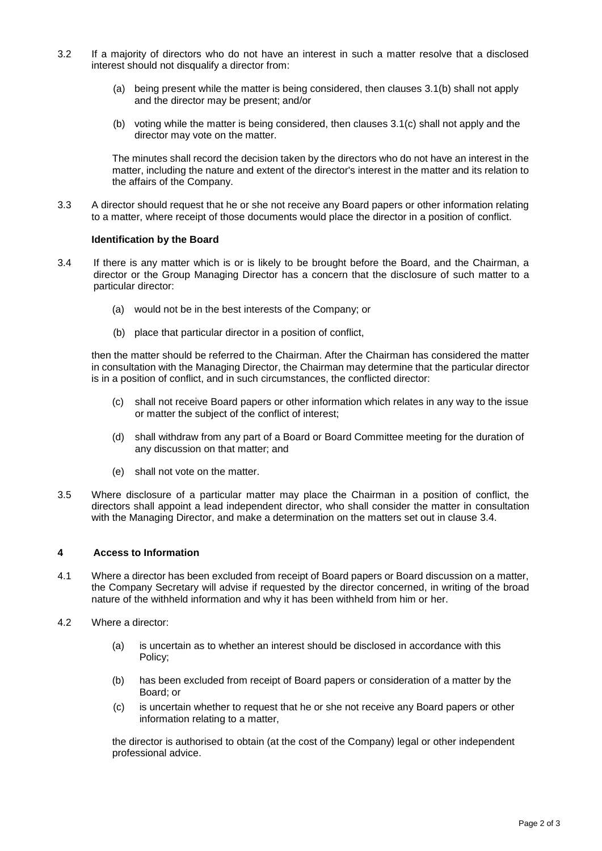- 3.2 If a majority of directors who do not have an interest in such a matter resolve that a disclosed interest should not disqualify a director from:
	- (a) being present while the matter is being considered, then clauses 3.1(b) shall not apply and the director may be present; and/or
	- (b) voting while the matter is being considered, then clauses 3.1(c) shall not apply and the director may vote on the matter.

The minutes shall record the decision taken by the directors who do not have an interest in the matter, including the nature and extent of the director's interest in the matter and its relation to the affairs of the Company.

3.3 A director should request that he or she not receive any Board papers or other information relating to a matter, where receipt of those documents would place the director in a position of conflict.

#### **Identification by the Board**

- 3.4 If there is any matter which is or is likely to be brought before the Board, and the Chairman, a director or the Group Managing Director has a concern that the disclosure of such matter to a particular director:
	- (a) would not be in the best interests of the Company; or
	- (b) place that particular director in a position of conflict,

then the matter should be referred to the Chairman. After the Chairman has considered the matter in consultation with the Managing Director, the Chairman may determine that the particular director is in a position of conflict, and in such circumstances, the conflicted director:

- (c) shall not receive Board papers or other information which relates in any way to the issue or matter the subject of the conflict of interest;
- (d) shall withdraw from any part of a Board or Board Committee meeting for the duration of any discussion on that matter; and
- (e) shall not vote on the matter.
- 3.5 Where disclosure of a particular matter may place the Chairman in a position of conflict, the directors shall appoint a lead independent director, who shall consider the matter in consultation with the Managing Director, and make a determination on the matters set out in clause 3.4.

#### **4 Access to Information**

- 4.1 Where a director has been excluded from receipt of Board papers or Board discussion on a matter, the Company Secretary will advise if requested by the director concerned, in writing of the broad nature of the withheld information and why it has been withheld from him or her.
- 4.2 Where a director:
	- (a) is uncertain as to whether an interest should be disclosed in accordance with this Policy;
	- (b) has been excluded from receipt of Board papers or consideration of a matter by the Board; or
	- (c) is uncertain whether to request that he or she not receive any Board papers or other information relating to a matter,

the director is authorised to obtain (at the cost of the Company) legal or other independent professional advice.